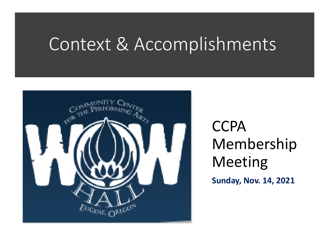## Context & Accomplishments



**CCPA** Membership Meeting

**Sunday, Nov. 14, 2021**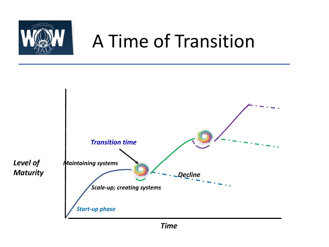

# A Time of Transition

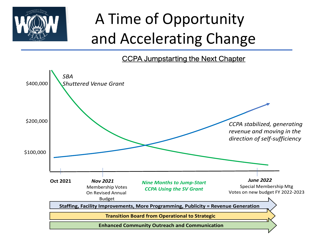

# A Time of Opportunity and Accelerating Change

CCPA Jumpstarting the Next Chapter

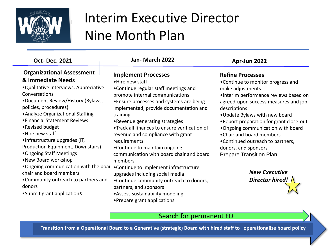

## Interim Executive Director Nine Month Plan

### **Organizational Assessment & Immediate Needs**

•Qualitative Interviews: Appreciative Conversations

•Document Review/History (Bylaws, policies, procedures)

•Analyze Organizational Staffing

•Financial Statement Reviews

•Revised budget

•Hire new staff

•Infrastructure upgrades (IT,

Production Equipment, Downstairs)

•Ongoing Staff Meetings

•New Board workshop

•Ongoing communication with the boar chair and board members

•Community outreach to partners and donors

•Submit grant applications

### **Oct- Dec. 2021 Jan- March 2022 Apr-Jun 2022 Implement Processes** •Hire new staff •Continue regular staff meetings and promote internal communications

•Ensure processes and systems are being implemented, provide documentation and training

•Revenue generating strategies

•Track all finances to ensure verification of revenue and compliance with grant requirements

•Continue to maintain ongoing communication with board chair and board members

•Continue to implement infrastructure upgrades including social media

•Continue community outreach to donors, partners, and sponsors

- •Assess sustainability modeling
- •Prepare grant applications

### **Refine Processes**

•Continue to monitor progress and make adjustments

•Interim performance reviews based on agreed-upon success measures and job descriptions

•Update Bylaws with new board

•Report preparation for grant close-out

•Ongoing communication with board

•Chair and board members

•Continued outreach to partners,

donors, and sponsors

Prepare Transition Plan

*New Executive Director hired!*

Search for permanent ED

**Transition from a Operational Board to a Generative (strategic) Board with hired staff to operationalize board policy**